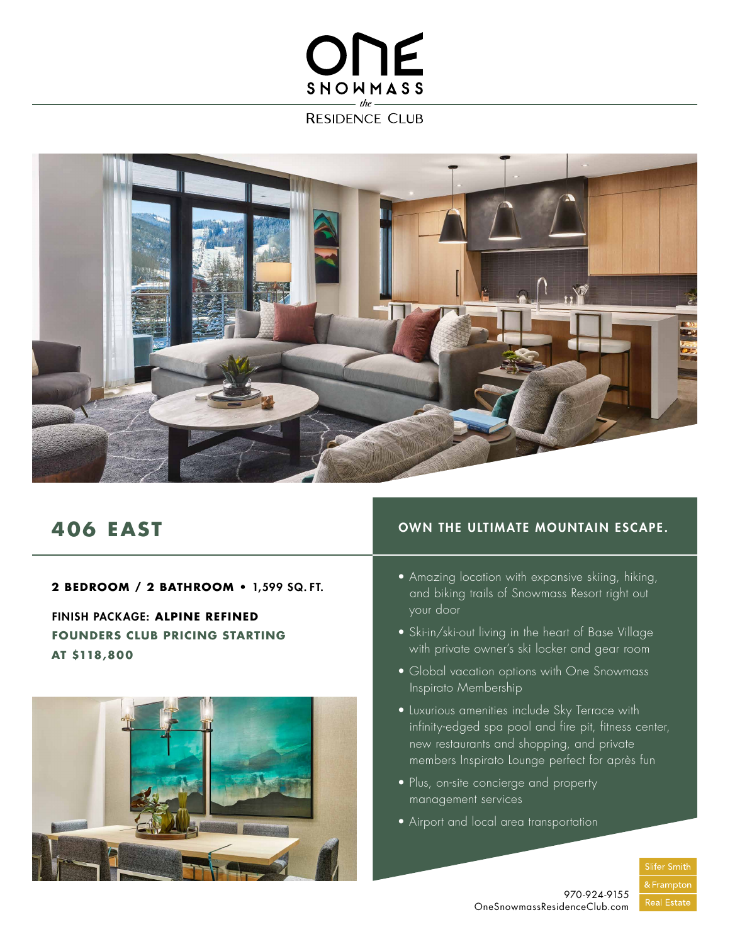## ONE SNOWMASS

**RESIDENCE CLUB** 



## **406 EAST**

**2 BEDROOM / 2 BATHROOM •** 1,599 SQ. FT.

FINISH PACKAGE: **ALPINE REFINED FOUNDERS CLUB PRICING STARTING AT \$118,800**



## OWN THE ULTIMATE MOUNTAIN ESCAPE.

- Amazing location with expansive skiing, hiking, and biking trails of Snowmass Resort right out your door
- Ski-in/ski-out living in the heart of Base Village with private owner's ski locker and gear room
- Global vacation options with One Snowmass Inspirato Membership
- Luxurious amenities include Sky Terrace with infinity-edged spa pool and fire pit, fitness center, new restaurants and shopping, and private members Inspirato Lounge perfect for après fun
- Plus, on-site concierge and property management services
- Airport and local area transportation